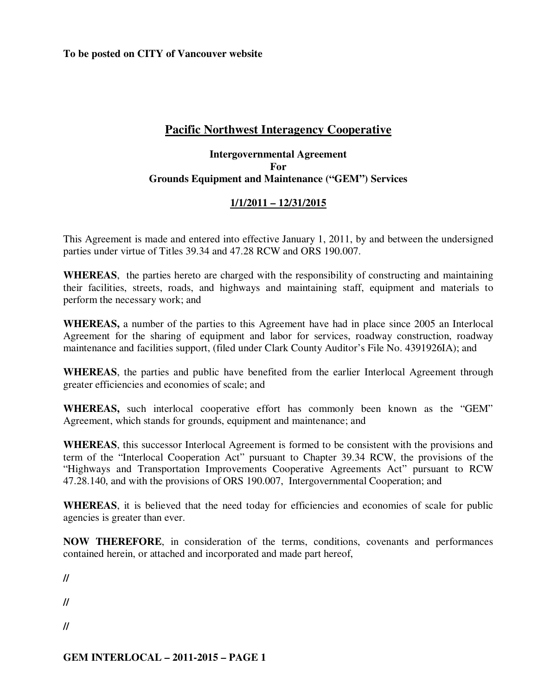**To be posted on CITY of Vancouver website** 

# **Pacific Northwest Interagency Cooperative**

### **Intergovernmental Agreement For Grounds Equipment and Maintenance ("GEM") Services**

# **1/1/2011 – 12/31/2015**

This Agreement is made and entered into effective January 1, 2011, by and between the undersigned parties under virtue of Titles 39.34 and 47.28 RCW and ORS 190.007.

**WHEREAS**, the parties hereto are charged with the responsibility of constructing and maintaining their facilities, streets, roads, and highways and maintaining staff, equipment and materials to perform the necessary work; and

**WHEREAS,** a number of the parties to this Agreement have had in place since 2005 an Interlocal Agreement for the sharing of equipment and labor for services, roadway construction, roadway maintenance and facilities support, (filed under Clark County Auditor's File No. 4391926IA); and

**WHEREAS**, the parties and public have benefited from the earlier Interlocal Agreement through greater efficiencies and economies of scale; and

**WHEREAS,** such interlocal cooperative effort has commonly been known as the "GEM" Agreement, which stands for grounds, equipment and maintenance; and

**WHEREAS**, this successor Interlocal Agreement is formed to be consistent with the provisions and term of the "Interlocal Cooperation Act" pursuant to Chapter 39.34 RCW, the provisions of the "Highways and Transportation Improvements Cooperative Agreements Act" pursuant to RCW 47.28.140, and with the provisions of ORS 190.007, Intergovernmental Cooperation; and

**WHEREAS**, it is believed that the need today for efficiencies and economies of scale for public agencies is greater than ever.

**NOW THEREFORE**, in consideration of the terms, conditions, covenants and performances contained herein, or attached and incorporated and made part hereof,

**//** 

**//** 

**//**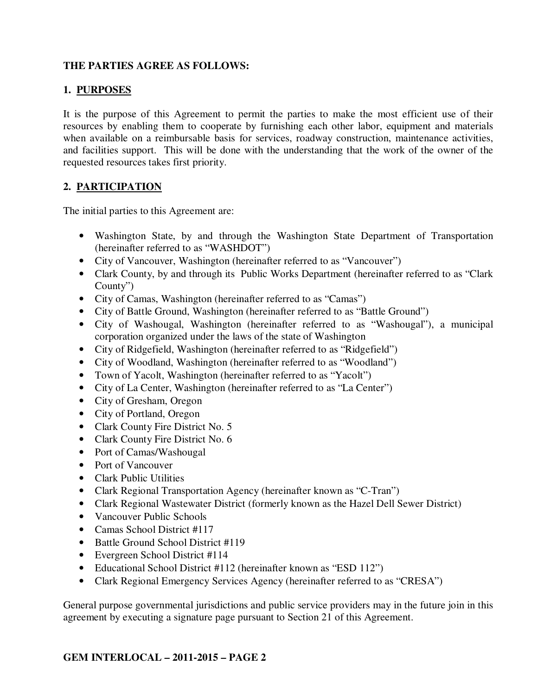### **THE PARTIES AGREE AS FOLLOWS:**

# **1. PURPOSES**

It is the purpose of this Agreement to permit the parties to make the most efficient use of their resources by enabling them to cooperate by furnishing each other labor, equipment and materials when available on a reimbursable basis for services, roadway construction, maintenance activities, and facilities support. This will be done with the understanding that the work of the owner of the requested resources takes first priority.

#### **2. PARTICIPATION**

The initial parties to this Agreement are:

- Washington State, by and through the Washington State Department of Transportation (hereinafter referred to as "WASHDOT")
- City of Vancouver, Washington (hereinafter referred to as "Vancouver")
- Clark County, by and through its Public Works Department (hereinafter referred to as "Clark" County")
- City of Camas, Washington (hereinafter referred to as "Camas")
- City of Battle Ground, Washington (hereinafter referred to as "Battle Ground")
- City of Washougal, Washington (hereinafter referred to as "Washougal"), a municipal corporation organized under the laws of the state of Washington
- City of Ridgefield, Washington (hereinafter referred to as "Ridgefield")
- City of Woodland, Washington (hereinafter referred to as "Woodland")
- Town of Yacolt, Washington (hereinafter referred to as "Yacolt")
- City of La Center, Washington (hereinafter referred to as "La Center")
- City of Gresham, Oregon
- City of Portland, Oregon
- Clark County Fire District No. 5
- Clark County Fire District No. 6
- Port of Camas/Washougal
- Port of Vancouver
- Clark Public Utilities
- Clark Regional Transportation Agency (hereinafter known as "C-Tran")
- Clark Regional Wastewater District (formerly known as the Hazel Dell Sewer District)
- Vancouver Public Schools
- Camas School District #117
- Battle Ground School District #119
- Evergreen School District #114
- Educational School District #112 (hereinafter known as "ESD 112")
- Clark Regional Emergency Services Agency (hereinafter referred to as "CRESA")

General purpose governmental jurisdictions and public service providers may in the future join in this agreement by executing a signature page pursuant to Section 21 of this Agreement.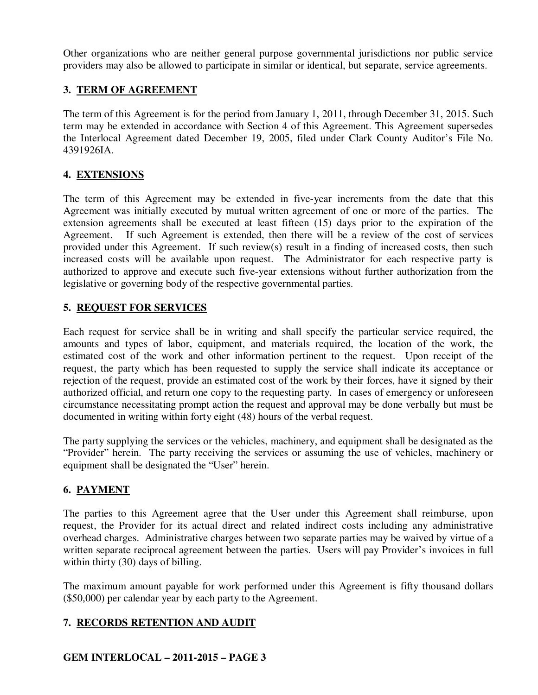Other organizations who are neither general purpose governmental jurisdictions nor public service providers may also be allowed to participate in similar or identical, but separate, service agreements.

# **3. TERM OF AGREEMENT**

The term of this Agreement is for the period from January 1, 2011, through December 31, 2015. Such term may be extended in accordance with Section 4 of this Agreement. This Agreement supersedes the Interlocal Agreement dated December 19, 2005, filed under Clark County Auditor's File No. 4391926IA.

# **4. EXTENSIONS**

The term of this Agreement may be extended in five-year increments from the date that this Agreement was initially executed by mutual written agreement of one or more of the parties. The extension agreements shall be executed at least fifteen (15) days prior to the expiration of the Agreement. If such Agreement is extended, then there will be a review of the cost of services provided under this Agreement. If such review(s) result in a finding of increased costs, then such increased costs will be available upon request. The Administrator for each respective party is authorized to approve and execute such five-year extensions without further authorization from the legislative or governing body of the respective governmental parties.

# **5. REQUEST FOR SERVICES**

Each request for service shall be in writing and shall specify the particular service required, the amounts and types of labor, equipment, and materials required, the location of the work, the estimated cost of the work and other information pertinent to the request. Upon receipt of the request, the party which has been requested to supply the service shall indicate its acceptance or rejection of the request, provide an estimated cost of the work by their forces, have it signed by their authorized official, and return one copy to the requesting party. In cases of emergency or unforeseen circumstance necessitating prompt action the request and approval may be done verbally but must be documented in writing within forty eight (48) hours of the verbal request.

The party supplying the services or the vehicles, machinery, and equipment shall be designated as the "Provider" herein. The party receiving the services or assuming the use of vehicles, machinery or equipment shall be designated the "User" herein.

# **6. PAYMENT**

The parties to this Agreement agree that the User under this Agreement shall reimburse, upon request, the Provider for its actual direct and related indirect costs including any administrative overhead charges. Administrative charges between two separate parties may be waived by virtue of a written separate reciprocal agreement between the parties. Users will pay Provider's invoices in full within thirty (30) days of billing.

The maximum amount payable for work performed under this Agreement is fifty thousand dollars (\$50,000) per calendar year by each party to the Agreement.

# **7. RECORDS RETENTION AND AUDIT**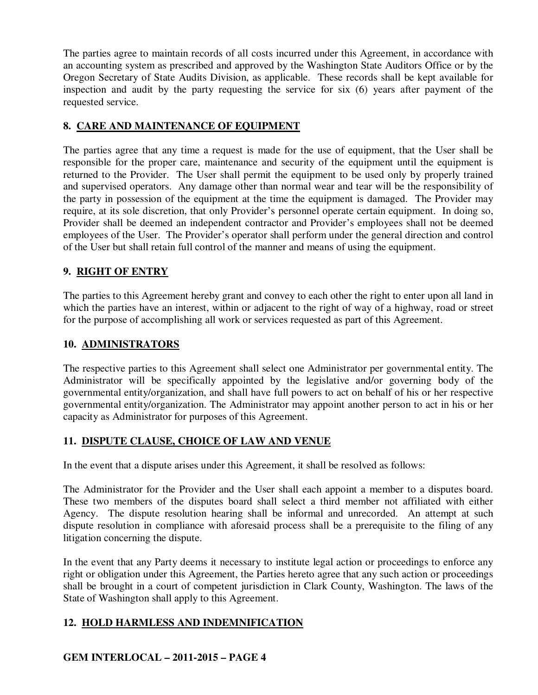The parties agree to maintain records of all costs incurred under this Agreement, in accordance with an accounting system as prescribed and approved by the Washington State Auditors Office or by the Oregon Secretary of State Audits Division, as applicable. These records shall be kept available for inspection and audit by the party requesting the service for six (6) years after payment of the requested service.

### **8. CARE AND MAINTENANCE OF EQUIPMENT**

The parties agree that any time a request is made for the use of equipment, that the User shall be responsible for the proper care, maintenance and security of the equipment until the equipment is returned to the Provider. The User shall permit the equipment to be used only by properly trained and supervised operators. Any damage other than normal wear and tear will be the responsibility of the party in possession of the equipment at the time the equipment is damaged. The Provider may require, at its sole discretion, that only Provider's personnel operate certain equipment. In doing so, Provider shall be deemed an independent contractor and Provider's employees shall not be deemed employees of the User. The Provider's operator shall perform under the general direction and control of the User but shall retain full control of the manner and means of using the equipment.

#### **9. RIGHT OF ENTRY**

The parties to this Agreement hereby grant and convey to each other the right to enter upon all land in which the parties have an interest, within or adjacent to the right of way of a highway, road or street for the purpose of accomplishing all work or services requested as part of this Agreement.

#### **10. ADMINISTRATORS**

The respective parties to this Agreement shall select one Administrator per governmental entity. The Administrator will be specifically appointed by the legislative and/or governing body of the governmental entity/organization, and shall have full powers to act on behalf of his or her respective governmental entity/organization. The Administrator may appoint another person to act in his or her capacity as Administrator for purposes of this Agreement.

# **11. DISPUTE CLAUSE, CHOICE OF LAW AND VENUE**

In the event that a dispute arises under this Agreement, it shall be resolved as follows:

The Administrator for the Provider and the User shall each appoint a member to a disputes board. These two members of the disputes board shall select a third member not affiliated with either Agency. The dispute resolution hearing shall be informal and unrecorded. An attempt at such dispute resolution in compliance with aforesaid process shall be a prerequisite to the filing of any litigation concerning the dispute.

In the event that any Party deems it necessary to institute legal action or proceedings to enforce any right or obligation under this Agreement, the Parties hereto agree that any such action or proceedings shall be brought in a court of competent jurisdiction in Clark County, Washington. The laws of the State of Washington shall apply to this Agreement.

# **12. HOLD HARMLESS AND INDEMNIFICATION**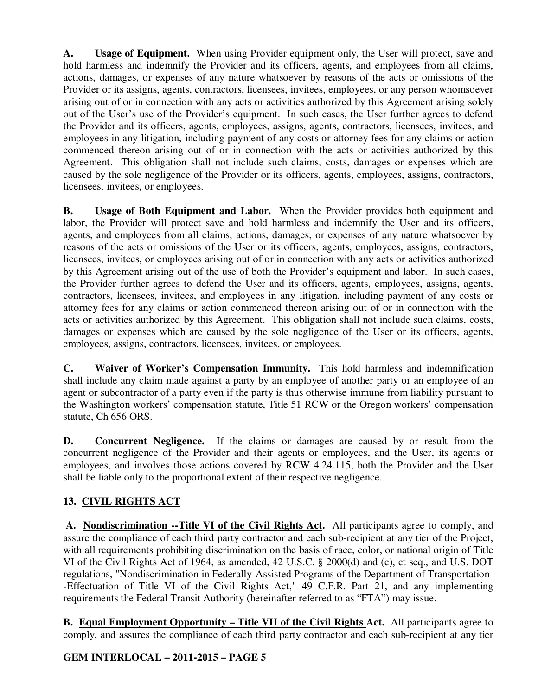**A. Usage of Equipment.** When using Provider equipment only, the User will protect, save and hold harmless and indemnify the Provider and its officers, agents, and employees from all claims, actions, damages, or expenses of any nature whatsoever by reasons of the acts or omissions of the Provider or its assigns, agents, contractors, licensees, invitees, employees, or any person whomsoever arising out of or in connection with any acts or activities authorized by this Agreement arising solely out of the User's use of the Provider's equipment. In such cases, the User further agrees to defend the Provider and its officers, agents, employees, assigns, agents, contractors, licensees, invitees, and employees in any litigation, including payment of any costs or attorney fees for any claims or action commenced thereon arising out of or in connection with the acts or activities authorized by this Agreement. This obligation shall not include such claims, costs, damages or expenses which are caused by the sole negligence of the Provider or its officers, agents, employees, assigns, contractors, licensees, invitees, or employees.

**B. Usage of Both Equipment and Labor.** When the Provider provides both equipment and labor, the Provider will protect save and hold harmless and indemnify the User and its officers, agents, and employees from all claims, actions, damages, or expenses of any nature whatsoever by reasons of the acts or omissions of the User or its officers, agents, employees, assigns, contractors, licensees, invitees, or employees arising out of or in connection with any acts or activities authorized by this Agreement arising out of the use of both the Provider's equipment and labor. In such cases, the Provider further agrees to defend the User and its officers, agents, employees, assigns, agents, contractors, licensees, invitees, and employees in any litigation, including payment of any costs or attorney fees for any claims or action commenced thereon arising out of or in connection with the acts or activities authorized by this Agreement. This obligation shall not include such claims, costs, damages or expenses which are caused by the sole negligence of the User or its officers, agents, employees, assigns, contractors, licensees, invitees, or employees.

**C. Waiver of Worker's Compensation Immunity.** This hold harmless and indemnification shall include any claim made against a party by an employee of another party or an employee of an agent or subcontractor of a party even if the party is thus otherwise immune from liability pursuant to the Washington workers' compensation statute, Title 51 RCW or the Oregon workers' compensation statute, Ch 656 ORS.

**D. Concurrent Negligence.** If the claims or damages are caused by or result from the concurrent negligence of the Provider and their agents or employees, and the User, its agents or employees, and involves those actions covered by RCW 4.24.115, both the Provider and the User shall be liable only to the proportional extent of their respective negligence.

# **13. CIVIL RIGHTS ACT**

**A. Nondiscrimination --Title VI of the Civil Rights Act.** All participants agree to comply, and assure the compliance of each third party contractor and each sub-recipient at any tier of the Project, with all requirements prohibiting discrimination on the basis of race, color, or national origin of Title VI of the Civil Rights Act of 1964, as amended, 42 U.S.C. § 2000(d) and (e), et seq., and U.S. DOT regulations, "Nondiscrimination in Federally-Assisted Programs of the Department of Transportation- -Effectuation of Title VI of the Civil Rights Act," 49 C.F.R. Part 21, and any implementing requirements the Federal Transit Authority (hereinafter referred to as "FTA") may issue.

**B. Equal Employment Opportunity – Title VII of the Civil Rights Act.** All participants agree to comply, and assures the compliance of each third party contractor and each sub-recipient at any tier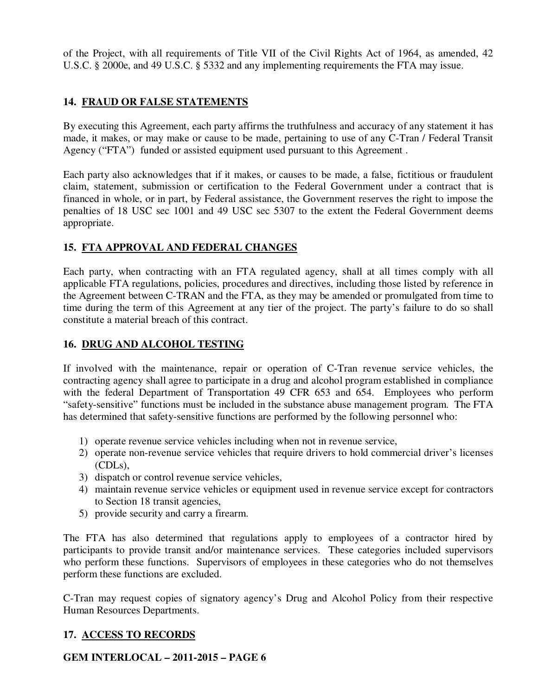of the Project, with all requirements of Title VII of the Civil Rights Act of 1964, as amended, 42 U.S.C. § 2000e, and 49 U.S.C. § 5332 and any implementing requirements the FTA may issue.

# **14. FRAUD OR FALSE STATEMENTS**

By executing this Agreement, each party affirms the truthfulness and accuracy of any statement it has made, it makes, or may make or cause to be made, pertaining to use of any C-Tran / Federal Transit Agency ("FTA") funded or assisted equipment used pursuant to this Agreement .

Each party also acknowledges that if it makes, or causes to be made, a false, fictitious or fraudulent claim, statement, submission or certification to the Federal Government under a contract that is financed in whole, or in part, by Federal assistance, the Government reserves the right to impose the penalties of 18 USC sec 1001 and 49 USC sec 5307 to the extent the Federal Government deems appropriate.

# **15. FTA APPROVAL AND FEDERAL CHANGES**

Each party, when contracting with an FTA regulated agency, shall at all times comply with all applicable FTA regulations, policies, procedures and directives, including those listed by reference in the Agreement between C-TRAN and the FTA, as they may be amended or promulgated from time to time during the term of this Agreement at any tier of the project. The party's failure to do so shall constitute a material breach of this contract.

### **16. DRUG AND ALCOHOL TESTING**

If involved with the maintenance, repair or operation of C-Tran revenue service vehicles, the contracting agency shall agree to participate in a drug and alcohol program established in compliance with the federal Department of Transportation 49 CFR 653 and 654. Employees who perform "safety-sensitive" functions must be included in the substance abuse management program. The FTA has determined that safety-sensitive functions are performed by the following personnel who:

- 1) operate revenue service vehicles including when not in revenue service,
- 2) operate non-revenue service vehicles that require drivers to hold commercial driver's licenses (CDLs),
- 3) dispatch or control revenue service vehicles,
- 4) maintain revenue service vehicles or equipment used in revenue service except for contractors to Section 18 transit agencies,
- 5) provide security and carry a firearm.

The FTA has also determined that regulations apply to employees of a contractor hired by participants to provide transit and/or maintenance services. These categories included supervisors who perform these functions. Supervisors of employees in these categories who do not themselves perform these functions are excluded.

C-Tran may request copies of signatory agency's Drug and Alcohol Policy from their respective Human Resources Departments.

#### **17. ACCESS TO RECORDS**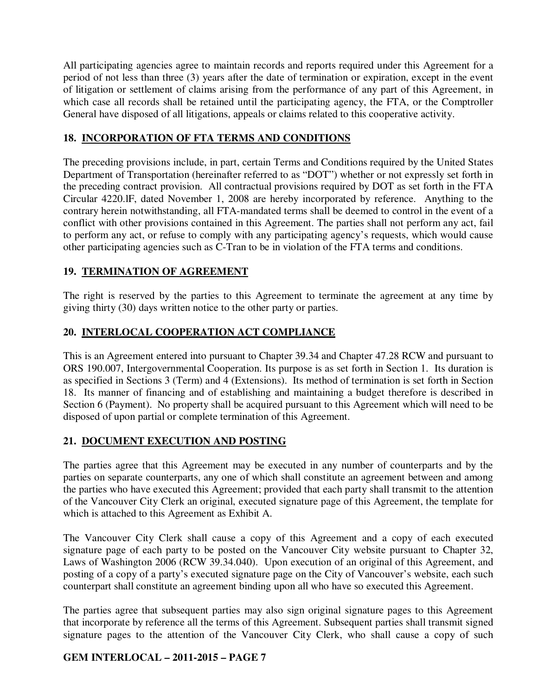All participating agencies agree to maintain records and reports required under this Agreement for a period of not less than three (3) years after the date of termination or expiration, except in the event of litigation or settlement of claims arising from the performance of any part of this Agreement, in which case all records shall be retained until the participating agency, the FTA, or the Comptroller General have disposed of all litigations, appeals or claims related to this cooperative activity.

### **18. INCORPORATION OF FTA TERMS AND CONDITIONS**

The preceding provisions include, in part, certain Terms and Conditions required by the United States Department of Transportation (hereinafter referred to as "DOT") whether or not expressly set forth in the preceding contract provision. All contractual provisions required by DOT as set forth in the FTA Circular 4220.lF, dated November 1, 2008 are hereby incorporated by reference. Anything to the contrary herein notwithstanding, all FTA-mandated terms shall be deemed to control in the event of a conflict with other provisions contained in this Agreement. The parties shall not perform any act, fail to perform any act, or refuse to comply with any participating agency's requests, which would cause other participating agencies such as C-Tran to be in violation of the FTA terms and conditions.

# **19. TERMINATION OF AGREEMENT**

The right is reserved by the parties to this Agreement to terminate the agreement at any time by giving thirty (30) days written notice to the other party or parties.

# **20. INTERLOCAL COOPERATION ACT COMPLIANCE**

This is an Agreement entered into pursuant to Chapter 39.34 and Chapter 47.28 RCW and pursuant to ORS 190.007, Intergovernmental Cooperation. Its purpose is as set forth in Section 1. Its duration is as specified in Sections 3 (Term) and 4 (Extensions). Its method of termination is set forth in Section 18. Its manner of financing and of establishing and maintaining a budget therefore is described in Section 6 (Payment). No property shall be acquired pursuant to this Agreement which will need to be disposed of upon partial or complete termination of this Agreement.

#### **21. DOCUMENT EXECUTION AND POSTING**

The parties agree that this Agreement may be executed in any number of counterparts and by the parties on separate counterparts, any one of which shall constitute an agreement between and among the parties who have executed this Agreement; provided that each party shall transmit to the attention of the Vancouver City Clerk an original, executed signature page of this Agreement, the template for which is attached to this Agreement as Exhibit A.

The Vancouver City Clerk shall cause a copy of this Agreement and a copy of each executed signature page of each party to be posted on the Vancouver City website pursuant to Chapter 32, Laws of Washington 2006 (RCW 39.34.040). Upon execution of an original of this Agreement, and posting of a copy of a party's executed signature page on the City of Vancouver's website, each such counterpart shall constitute an agreement binding upon all who have so executed this Agreement.

The parties agree that subsequent parties may also sign original signature pages to this Agreement that incorporate by reference all the terms of this Agreement. Subsequent parties shall transmit signed signature pages to the attention of the Vancouver City Clerk, who shall cause a copy of such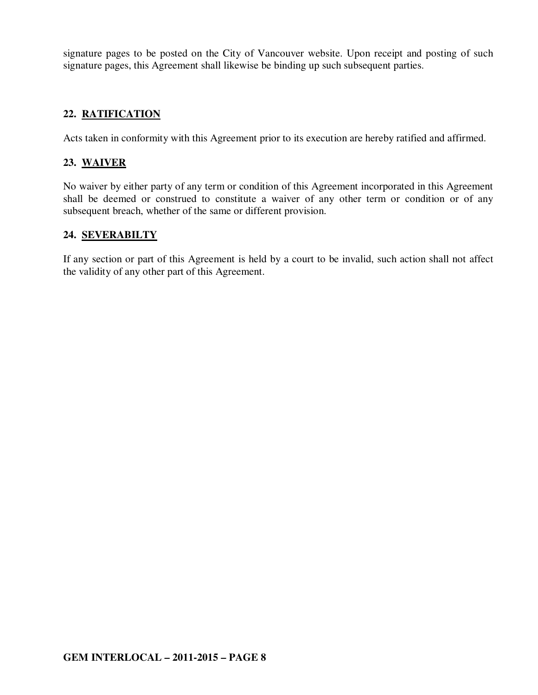signature pages to be posted on the City of Vancouver website. Upon receipt and posting of such signature pages, this Agreement shall likewise be binding up such subsequent parties.

### **22. RATIFICATION**

Acts taken in conformity with this Agreement prior to its execution are hereby ratified and affirmed.

### **23. WAIVER**

No waiver by either party of any term or condition of this Agreement incorporated in this Agreement shall be deemed or construed to constitute a waiver of any other term or condition or of any subsequent breach, whether of the same or different provision.

#### **24. SEVERABILTY**

If any section or part of this Agreement is held by a court to be invalid, such action shall not affect the validity of any other part of this Agreement.